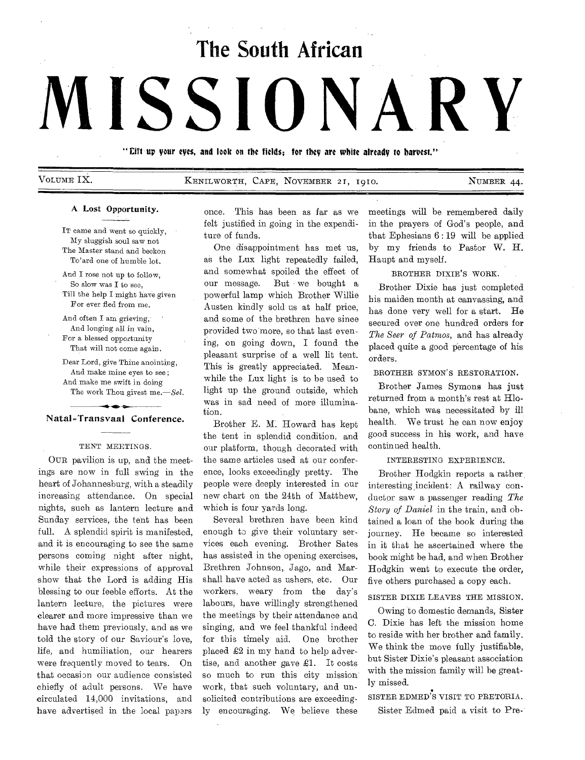# **The South African**

# **MISSIONARY**

" Eift up your eyes, and look on the fields; for they are white already to harvest."

VOLUME IX. KENILWORTH, CAPE, NOVEMBER 21, 1910. NUMBER 44.

# A Lost Opportunity.

IT came and went so quickly, My sluggish soul saw not The Master stand and beckon To'ard one of humble lot.

And I rose not up to follow, So slow was I to see, Till the help I might have given For ever fled from me.

And often I am grieving, And longing all in vain, For a blessed opportunity That will not come again.

Dear Lord, give Thine anointing, And make mine eyes to see ; And make me swift in doing The work Thou givest *me.—Sel.* 

## **s**  Natal-Transvaal Conference.

## TENT MEETINGS.

OUR pavilion is up, and the meetings are now in full swing in the heart of Johannesburg, with a steadily increasing attendance. On special nights, such as lantern lecture and Sunday services, the tent has been full. A splendid spirit is manifested, and it is encouraging to see the same persons coming night after night, while their expressions of approval show that the Lord is adding His blessing to our feeble efforts. At the lantern lecture, the pictures were clearer and more impressive than we have had them previously, and as we told the story of our Saviour's love, life, and humiliation, our hearers were frequently moved to tears. On that occasion our audience consisted chiefly of adult persons. We have circulated 14,000 invitations, and have advertised in the local papars

once. This has been as far as we felt justified in going in the expenditure of funds.

One disappointment has met us, as the Lux light repeatedly failed, and somewhat spoiled the effect of our message. But we bought a powerful lamp which Brother Willie Austen kindly sold us at half price, and some of the brethren have since provided two more, so that last evening, on going down, I found the pleasant surprise of a well lit tent. This is greatly appreciated. Meanwhile the Lux light is to be used to light up the ground outside, which was in sad need of more illumination.

Brother E. M. Howard has kept the tent in splendid condition, and our platform, though decorated with the same articles used at our conference, looks exceedingly pretty. The people were deeply interested in our new chart on the 24th of Matthew, which is four yards long.

Several brethren have been kind enough to give their voluntary services each evening. Brother Sates has assisted in the opening exercises, Brethren Johnson, Jago, and Marshall have acted as ushers, etc. Our workers, weary from the day's labours, have willingly strengthened the meetings by their attendance and singing, and we feel thankful indeed for this timely aid. One brother placed £2 in my hand to help advertise, and another gave £1. It costs so much to run this city mission work, that such voluntary, and unsolicited contributions are exceedingly encouraging. We believe these

meetings will be remembered daily in the prayers of God's people, and that Ephesians  $6:19$  will be applied by my friends to Pastor W. H. Haupt and myself.

# BROTHER DIXIE'S WORK.

Brother Dixie has just completed his maiden month at canvassing, and has done very well for a start. He secured over one hundred orders for *The Seer of Patmos,* and has already placed quite a good percentage of his orders.

BROTHER SYMON'S RESTORATION.

Brother James Symons has just returned from a month's rest at Hlobane, which was necessitated by ill health. We trust he can now enjoy good success in his work, and have continued health.

## INTERESTING EXPERIENCE.

Brother Hodgkin reports a rather, interesting, incident: A railway conductor saw a passenger reading *The Story of Daniel* in the train, and obtained a loan of the book during the journey. He became so interested in it that he ascertained where the book might be had, and when Brother Hodgkin went to execute the order. five others purchased a copy each.

# SISTER DIXIE LEAVES THE MISSION.

Owing to domestic demands, Sister C. Dixie has left the mission home to reside with her brother and family. We think the move fully justifiable. but Sister Dixie's pleasant association with the mission family will be greatly missed.

SISTER EDMED'S VISIT TO PRETORIA.

Sister Edmed paid a visit to Pre-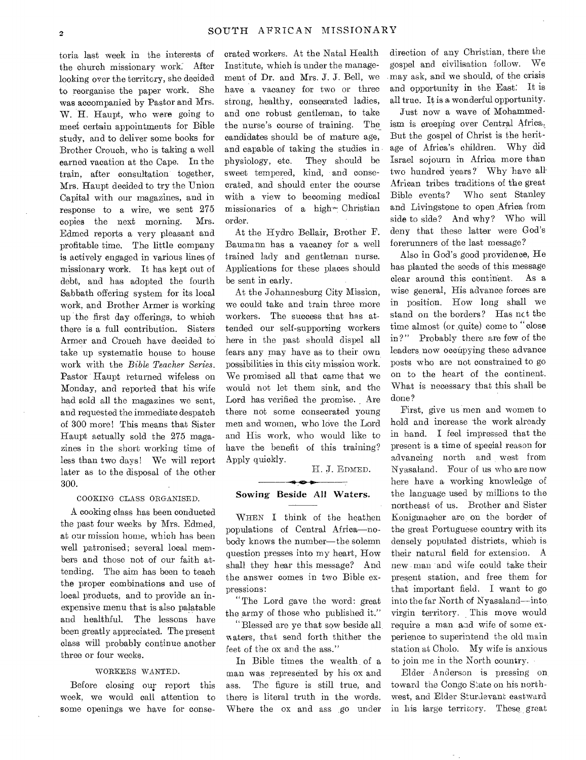toria last week in the interests of the church missionary work. After looking over the territory, she decided to reorganise the paper work. She was accompanied by Pastor and Mrs. W. H. Haupt, who were going to meet certain appointments for Bible study, and to deliver some books for Brother Crouch, who is taking a well earned vacation at the Cape. In the train, after consultation together, Mrs. Haupt decided to try the Union Capital with our magazines, and in response to a wire, we sent 275 copies the next morning. Mrs. Edmed reports a very pleasant and profitable time. The little company is actively engaged in various lines of missionary work. It has kept out of debt, and has adopted the fourth Sabbath offering system for its local work, and Brother Armer is working up the first day offerings, to which there is a full contribution. Sisters Armer and Crouch have decided to take up systematic house to house work with the *Bible Teacher Series.*  Pastor Haupt returned wifeless on Monday, and reported that his wife had sold all the magazines we sent, and requested the immediate despatch of 300 more! This means that Sister Haupt actually sold the 275 magazines in the short working time of less than two days! We will report later as to the disposal of the other 300.

# COOKING CLASS ORGANISED.

A cooking class has been conducted the past four weeks by Mrs. Edmed, at our mission home, which has been well patronised; several local members and those not of our faith attending. The aim has been to teach the proper combinations and use of local products, and to provide an inexpensive menu that is also palatable and healthful. The lessons have been greatly appreciated. The present class will probably continue another three or four weeks.

#### WORKERS WANTED.

Before closing on; report this week, we would call attention to some openings we have for consecrated workers. At the Natal Health Institute, which is under the management of Dr. and Mrs. J. J. Bell, we have a vacancy for two or three strong, healthy, consecrated ladies, and one robust gentleman, to take the nurse's course of training. The candidates should be of mature age, and capable of taking the studies in physiology, etc. They should be sweet tempered, kind, and consecrated, and should enter the course with a view to becoming medical missionaries of a high— Christian order.

At the Hydro Bellair, Brother F. Baumann has a vacancy for a well trained lady and gentleman nurse. Applications for these places should be sent in early.

At the Johannesburg City Mission, we could take and train three more workers. The success that has attended our self-supporting workers here in the past should dispel all fears any may have as to their own possibilities in this city mission work. We promised all that came that we would not let them sink, and the Lord has verified the promise. Are there not some consecrated young men and women, who love the Lord and His work, who would like to have the benefit of this training? Apply quickly.

H. J. EDMED.

# $\bullet$ Sowing Beside All Waters.

WHEN I think of the heathen populations of Central Africa—nobody knows the number—the solemn question presses into my heart, How shall they hear this message? And the answer comes in two Bible expressions:

"The Lord gave the word: great the army of those who published it."

"Blessed are ye that sow beside all waters, that send forth thither the feet of the ox and the ass."

In Bible times the wealth of a man was represented by his ox and ass. The figure is still true, and there is literal truth in the words. Where the ox and ass go under

direction of any Christian, there the gospel and civilisation follow. We may ask, and we should, of the crisis and opportunity in the East: It is all true. It is a wonderful opportunity.

Just now a wave of Mohammedism is creeping over Central Africa, But the gospel of Christ is the heritage of Africa's children. Why did Israel sojourn in Africa more than two hundred years? Why have all African tribes traditions of the great Bible events? Who sent Stanley and Livingstone to open Africa from side to side? And why? Who will deny that these latter were God's forerunners of the last message?

Also in God's good providence, He has planted the seeds of this message clear around this continent. As a wise general, His advance forces are in position. How long shall we stand on the borders? Has nct the time almost (or quite) come to "close in?" Probably there are few of the leaders now occupying these advance posts who are not constrained to go on to the heart of the continent. What is necessary that this shall be done?

First, give us men and women to hold and increase the work already in hand. I feel impressed that the present is a time of special reason for advancing north and west from Nyasaland. Four of us who are now here have a working knowledge of the language used by millions to the northeast of us. Brother and Sister Konigmacher are, on the border of the great Portuguese country with its densely populated districts, which is their natural field for extension. A new man and wife could take their present station, and free them for that important field. I want to go into the far North of Nyasaland—into, virgin territory. This move would require a man aad wife of some experience to superintend the old main station at Cholo. My wife is anxious to join me in the North country.

Elder Anderson is pressing on toward the Congo State on his northwest, and Elder Sturdevant eastward in his large territory. These great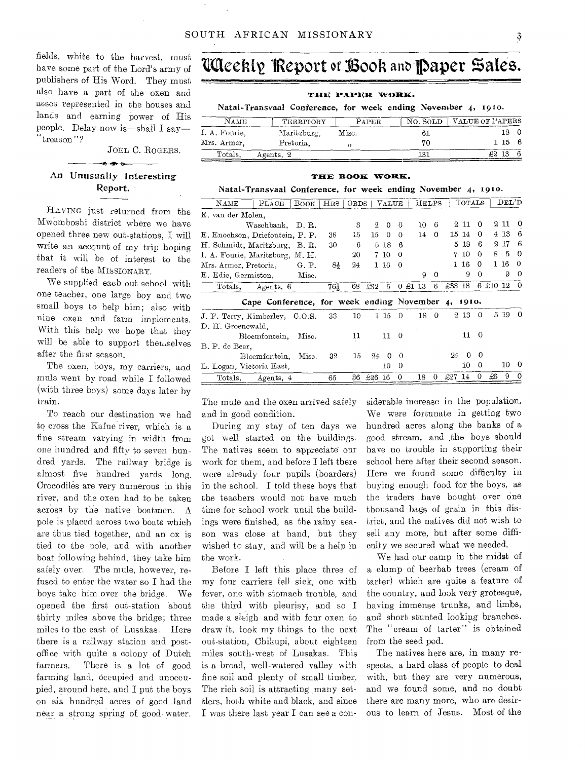fields, white to the harvest, must publishers of His Word. They must also have a part of the oxen and asses represented in the houses and lands and earning power of His people. Delay now is—shall I say— "treason"?

JOEL C. ROGERS.

# An Unusually Interesting Report.

HAVING just returned from the Mwomboshi district where we have opened three new out-stations, I will write an account of my trip hoping that it will be of interest to the readers of the MI8SIONARY.

We supplied each out-school with one teacher, one large boy and two small boys to help him; also with nine oxen and farm implements. With this help we hope that they will be able to support themselves after the first season.

The oxen, boys, my carriers, and mule went by road while I followed (with three boys) some days later by train.

To reach our destination we had to cross the Kafue river, which is a fine stream varying in width from one hundred and fifty to seven hundred yards. The railway bridge is almost five hundred yards long. Crocodiles are very numerous in this river, and the oxen had to be taken across by the native boatmen. A pole is placed across two boats which are thus tied together, and an ox is tied to the pole, and with another boat following behind, they take him safely over. The mule, however, refused to enter the water so I had the boys take him over the bridge. We opened the first out-station about thirty miles above the bridge; three miles to the east of Lusakas. Here there is a railway station and postoffice with quite a colony of Dutch farmers. There is a lot of good farming land, occupied and unoccupied, around here, and I put the boys on six hundred acres of good .land near a strong spring of, good, water.

# heres, while to the harvest, must **UAEERIY TREPORT of BOOR and Paper Sales.**

# **ltrilE PAPER. WORK.**

Natal-Transvaal Conference, for week ending November 4, 1910.

| <b>NAME</b>   | TERRITORY   | PAPER | NO. SOLD | VALUE OF PAPERS |
|---------------|-------------|-------|----------|-----------------|
| I. A. Fourie. | Maritzburg, | Misc. |          |                 |
| Mrs. Armer.   | Pretoria.   | ,,    | 70       | 1156            |
| Totals.       | Agents, 2   |       | 131      | $\pounds2$ 13   |

#### THE BOOK WORK.

Natal-Transvaal Conference, for week ending November 4, 1910.

| NAME                            | PLACE                                        | Book   HRS   ORDS |                 |    |                | VALUE    |          | HELPS      |          |        | TOTALS  |          |                    | $\rm{DEL}^{\prime}D$ |          |
|---------------------------------|----------------------------------------------|-------------------|-----------------|----|----------------|----------|----------|------------|----------|--------|---------|----------|--------------------|----------------------|----------|
| E, van der Molen,               |                                              |                   |                 |    |                |          |          |            |          |        |         |          |                    |                      |          |
|                                 | Waschbank,                                   | D.R.              |                 | 3  | $\overline{2}$ | 0        | 6        | 10         | 6        |        | $2\;11$ | $\Omega$ |                    | $2\,11$              | 0        |
| E. Enochson, Driefontein, P. P. |                                              |                   | 38              | 15 | 15             | $\theta$ | $\Omega$ | 14         | 0        | 15 14  |         | 0        |                    | 4 13                 | 6        |
| H. Schmidt, Maritzburg,         |                                              | B. R.             | 30              | 6  |                | 5 18     | 6        |            |          | 5      | -18     | 6        |                    | 217                  | 6        |
| I. A. Fourie, Maritzburg, M. H. |                                              |                   |                 | 20 |                | 7 10     | $\theta$ |            |          | 7.     | 10      | 0        | 8                  | 5                    | 0        |
| Mrs. Armer, Pretoria,           |                                              | G. P.             | 84              | 24 |                | $1\,16$  | $\Omega$ |            |          |        | $1\,16$ | 0        |                    | $1\,16$              | 0        |
| E. Edie, Germiston,             |                                              | Misc.             |                 |    |                |          |          | 9          | $\Omega$ |        | 9       | $\Omega$ |                    | 9                    | 0        |
|                                 | Totals, Agents, 6                            |                   | $76\frac{1}{2}$ | 68 | £32            | 5        |          | 0 £1<br>13 | 6        | £33 18 |         |          | $6 \t\pounds10$ 12 |                      |          |
|                                 |                                              |                   |                 |    |                |          |          |            |          |        |         |          |                    |                      |          |
|                                 | Cape Conference, for week ending November 4, |                   |                 |    |                |          |          |            |          |        | 1910.   |          |                    |                      |          |
| J. F. Terry, Kimberley, C.O.S.  |                                              |                   | 33              | 10 |                | 1 15     | $\Omega$ | 18         | $\Omega$ | 9.     | 13      | $\Omega$ |                    | 5 19                 | $\Omega$ |
| D. H. Groenewald,               |                                              |                   |                 |    |                |          |          |            |          |        |         |          |                    |                      |          |
|                                 | Bloemfontein,                                | Misc.             |                 | 11 |                | 11       | $\theta$ |            |          |        | 11      | $\Omega$ |                    |                      |          |
| B. P. de Beer.                  |                                              |                   |                 |    |                |          |          |            |          |        |         |          |                    |                      |          |
|                                 | Bloemfontein.                                | Misc.             | 32              | 15 | 24             | $\Omega$ | $\Omega$ |            |          | 94     | O       | $\theta$ |                    |                      |          |
| L. Logan, Victoria East,        |                                              |                   |                 |    |                | 10       | $\theta$ |            |          |        | 10      | $\theta$ |                    | 10                   | $\Omega$ |

The mule and the oxen arrived safely and in good condition.

During my stay of ten days we got well started on the buildings. The natives seem to appreciate our work for them, and before I left there were already four pupils (boarders) in the school. I told these boys that the teachers would not have much time for school work until the buildings were finished, as the rainy season was close at hand, but they wished to stay, and will be a help in the work.

Before I left this place three of my four carriers fell sick, one with fever, one with stomach trouble, and the third with pleurisy, and so I made a sleigh and with four oxen to draw it, took my things to the next out-station, Chikupi, about eighteen miles south-west of Lusakas. This is a broad, well-watered valley with fine soil and plenty of small timber. The rich soil is attracting many settlers, both white and black, and since I was there last year I can see a considerable increase in the population. We were fortunate in getting two hundred acres along the banks of a good stream, and .the boys should have no trouble in supporting their school here after their second season. Here we found some difficulty in buying enough food for the boys, as the traders have bought over one thousand bags of grain in this district, and the natives did not wish to sell any more, but after some difficulty we secured what we needed.

We had our camp in the midst of a clump of beerbab trees (cream of tarter) which are quite a feature of the country, and look very grotesque, having immense trunks, and limbs, and short stunted looking branches. The "cream of tarter" is obtained from the seed pod.

The natives here are, in many respects, a hard class of people to deal with, but they are very numerous, and we found some, and no doubt there are many more, who are desirous to learn of Jesus. Most of the